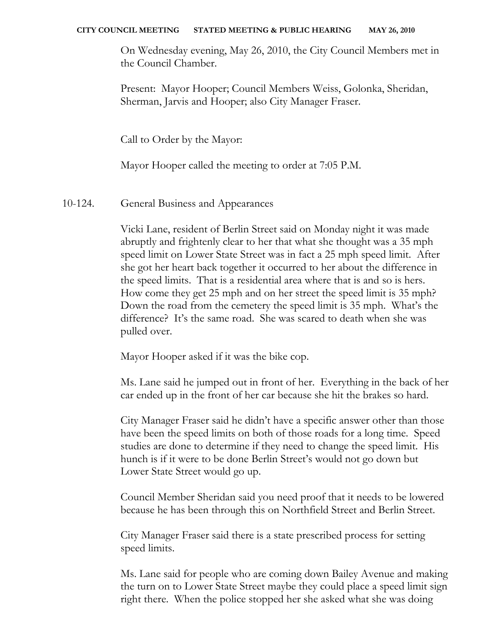On Wednesday evening, May 26, 2010, the City Council Members met in the Council Chamber.

Present: Mayor Hooper; Council Members Weiss, Golonka, Sheridan, Sherman, Jarvis and Hooper; also City Manager Fraser.

Call to Order by the Mayor:

Mayor Hooper called the meeting to order at 7:05 P.M.

10-124. General Business and Appearances

Vicki Lane, resident of Berlin Street said on Monday night it was made abruptly and frightenly clear to her that what she thought was a 35 mph speed limit on Lower State Street was in fact a 25 mph speed limit. After she got her heart back together it occurred to her about the difference in the speed limits. That is a residential area where that is and so is hers. How come they get 25 mph and on her street the speed limit is 35 mph? Down the road from the cemetery the speed limit is 35 mph. What's the difference? It's the same road. She was scared to death when she was pulled over.

Mayor Hooper asked if it was the bike cop.

Ms. Lane said he jumped out in front of her. Everything in the back of her car ended up in the front of her car because she hit the brakes so hard.

City Manager Fraser said he didn't have a specific answer other than those have been the speed limits on both of those roads for a long time. Speed studies are done to determine if they need to change the speed limit. His hunch is if it were to be done Berlin Street's would not go down but Lower State Street would go up.

Council Member Sheridan said you need proof that it needs to be lowered because he has been through this on Northfield Street and Berlin Street.

City Manager Fraser said there is a state prescribed process for setting speed limits.

Ms. Lane said for people who are coming down Bailey Avenue and making the turn on to Lower State Street maybe they could place a speed limit sign right there. When the police stopped her she asked what she was doing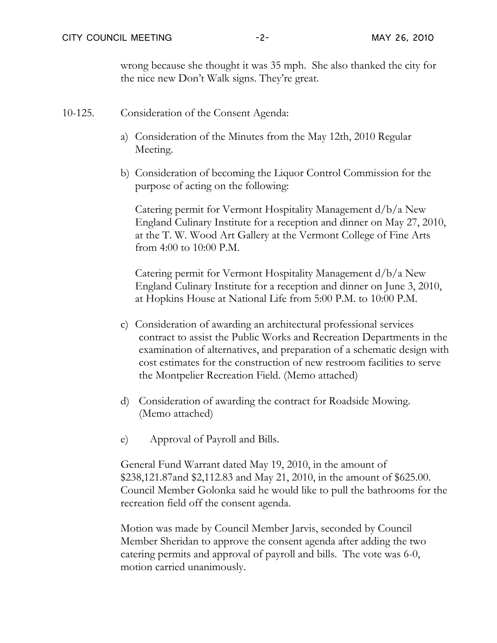wrong because she thought it was 35 mph. She also thanked the city for the nice new Don't Walk signs. They're great.

- 10-125. Consideration of the Consent Agenda:
	- a) Consideration of the Minutes from the May 12th, 2010 Regular Meeting.
	- b) Consideration of becoming the Liquor Control Commission for the purpose of acting on the following:

Catering permit for Vermont Hospitality Management d/b/a New England Culinary Institute for a reception and dinner on May 27, 2010, at the T. W. Wood Art Gallery at the Vermont College of Fine Arts from 4:00 to 10:00 P.M.

Catering permit for Vermont Hospitality Management d/b/a New England Culinary Institute for a reception and dinner on June 3, 2010, at Hopkins House at National Life from 5:00 P.M. to 10:00 P.M.

- c) Consideration of awarding an architectural professional services contract to assist the Public Works and Recreation Departments in the examination of alternatives, and preparation of a schematic design with cost estimates for the construction of new restroom facilities to serve the Montpelier Recreation Field. (Memo attached)
- d) Consideration of awarding the contract for Roadside Mowing. (Memo attached)
- e) Approval of Payroll and Bills.

General Fund Warrant dated May 19, 2010, in the amount of \$238,121.87and \$2,112.83 and May 21, 2010, in the amount of \$625.00. Council Member Golonka said he would like to pull the bathrooms for the recreation field off the consent agenda.

Motion was made by Council Member Jarvis, seconded by Council Member Sheridan to approve the consent agenda after adding the two catering permits and approval of payroll and bills. The vote was 6-0, motion carried unanimously.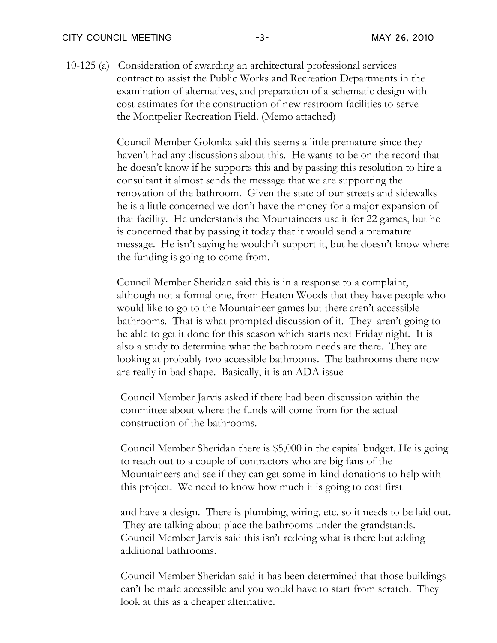10-125 (a) Consideration of awarding an architectural professional services contract to assist the Public Works and Recreation Departments in the examination of alternatives, and preparation of a schematic design with cost estimates for the construction of new restroom facilities to serve the Montpelier Recreation Field. (Memo attached)

> Council Member Golonka said this seems a little premature since they haven't had any discussions about this. He wants to be on the record that he doesn't know if he supports this and by passing this resolution to hire a consultant it almost sends the message that we are supporting the renovation of the bathroom. Given the state of our streets and sidewalks he is a little concerned we don't have the money for a major expansion of that facility. He understands the Mountaineers use it for 22 games, but he is concerned that by passing it today that it would send a premature message. He isn't saying he wouldn't support it, but he doesn't know where the funding is going to come from.

> Council Member Sheridan said this is in a response to a complaint, although not a formal one, from Heaton Woods that they have people who would like to go to the Mountaineer games but there aren't accessible bathrooms. That is what prompted discussion of it. They aren't going to be able to get it done for this season which starts next Friday night. It is also a study to determine what the bathroom needs are there. They are looking at probably two accessible bathrooms. The bathrooms there now are really in bad shape. Basically, it is an ADA issue

Council Member Jarvis asked if there had been discussion within the committee about where the funds will come from for the actual construction of the bathrooms.

Council Member Sheridan there is \$5,000 in the capital budget. He is going to reach out to a couple of contractors who are big fans of the Mountaineers and see if they can get some in-kind donations to help with this project. We need to know how much it is going to cost first

and have a design. There is plumbing, wiring, etc. so it needs to be laid out. They are talking about place the bathrooms under the grandstands. Council Member Jarvis said this isn't redoing what is there but adding additional bathrooms.

Council Member Sheridan said it has been determined that those buildings can't be made accessible and you would have to start from scratch. They look at this as a cheaper alternative.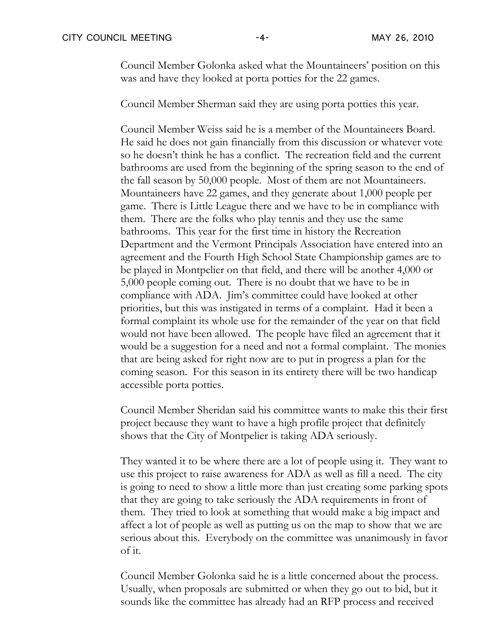Council Member Golonka asked what the Mountaineers' position on this was and have they looked at porta potties for the 22 games.

Council Member Sherman said they are using porta potties this year.

Council Member Weiss said he is a member of the Mountaineers Board. He said he does not gain financially from this discussion or whatever vote so he doesn't think he has a conflict. The recreation field and the current bathrooms are used from the beginning of the spring season to the end of the fall season by 50,000 people. Most of them are not Mountaineers. Mountaineers have 22 games, and they generate about 1,000 people per game. There is Little League there and we have to be in compliance with them. There are the folks who play tennis and they use the same bathrooms. This year for the first time in history the Recreation Department and the Vermont Principals Association have entered into an agreement and the Fourth High School State Championship games are to be played in Montpelier on that field, and there will be another 4,000 or 5,000 people coming out. There is no doubt that we have to be in compliance with ADA. Jim's committee could have looked at other priorities, but this was instigated in terms of a complaint. Had it been a formal complaint its whole use for the remainder of the year on that field would not have been allowed. The people have filed an agreement that it would be a suggestion for a need and not a formal complaint. The monies that are being asked for right now are to put in progress a plan for the coming season. For this season in its entirety there will be two handicap accessible porta potties.

Council Member Sheridan said his committee wants to make this their first project because they want to have a high profile project that definitely shows that the City of Montpelier is taking ADA seriously.

They wanted it to be where there are a lot of people using it. They want to use this project to raise awareness for ADA as well as fill a need. The city is going to need to show a little more than just creating some parking spots that they are going to take seriously the ADA requirements in front of them. They tried to look at something that would make a big impact and affect a lot of people as well as putting us on the map to show that we are serious about this. Everybody on the committee was unanimously in favor of it.

Council Member Golonka said he is a little concerned about the process. Usually, when proposals are submitted or when they go out to bid, but it sounds like the committee has already had an RFP process and received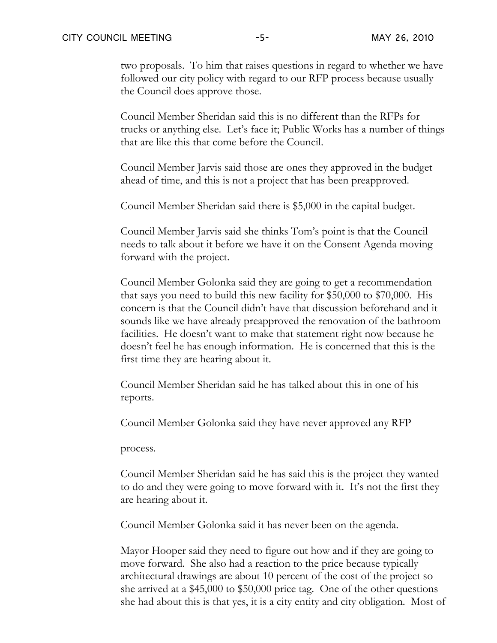two proposals. To him that raises questions in regard to whether we have followed our city policy with regard to our RFP process because usually the Council does approve those.

Council Member Sheridan said this is no different than the RFPs for trucks or anything else. Let's face it; Public Works has a number of things that are like this that come before the Council.

Council Member Jarvis said those are ones they approved in the budget ahead of time, and this is not a project that has been preapproved.

Council Member Sheridan said there is \$5,000 in the capital budget.

Council Member Jarvis said she thinks Tom's point is that the Council needs to talk about it before we have it on the Consent Agenda moving forward with the project.

Council Member Golonka said they are going to get a recommendation that says you need to build this new facility for \$50,000 to \$70,000. His concern is that the Council didn't have that discussion beforehand and it sounds like we have already preapproved the renovation of the bathroom facilities. He doesn't want to make that statement right now because he doesn't feel he has enough information. He is concerned that this is the first time they are hearing about it.

Council Member Sheridan said he has talked about this in one of his reports.

Council Member Golonka said they have never approved any RFP

process.

Council Member Sheridan said he has said this is the project they wanted to do and they were going to move forward with it. It's not the first they are hearing about it.

Council Member Golonka said it has never been on the agenda.

Mayor Hooper said they need to figure out how and if they are going to move forward. She also had a reaction to the price because typically architectural drawings are about 10 percent of the cost of the project so she arrived at a \$45,000 to \$50,000 price tag. One of the other questions she had about this is that yes, it is a city entity and city obligation. Most of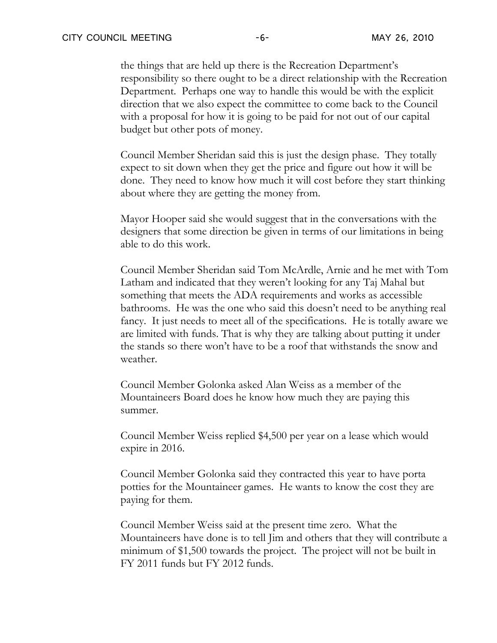the things that are held up there is the Recreation Department's responsibility so there ought to be a direct relationship with the Recreation Department. Perhaps one way to handle this would be with the explicit direction that we also expect the committee to come back to the Council with a proposal for how it is going to be paid for not out of our capital budget but other pots of money.

Council Member Sheridan said this is just the design phase. They totally expect to sit down when they get the price and figure out how it will be done. They need to know how much it will cost before they start thinking about where they are getting the money from.

Mayor Hooper said she would suggest that in the conversations with the designers that some direction be given in terms of our limitations in being able to do this work.

Council Member Sheridan said Tom McArdle, Arnie and he met with Tom Latham and indicated that they weren't looking for any Taj Mahal but something that meets the ADA requirements and works as accessible bathrooms. He was the one who said this doesn't need to be anything real fancy. It just needs to meet all of the specifications. He is totally aware we are limited with funds. That is why they are talking about putting it under the stands so there won't have to be a roof that withstands the snow and weather.

Council Member Golonka asked Alan Weiss as a member of the Mountaineers Board does he know how much they are paying this summer.

Council Member Weiss replied \$4,500 per year on a lease which would expire in 2016.

Council Member Golonka said they contracted this year to have porta potties for the Mountaineer games. He wants to know the cost they are paying for them.

Council Member Weiss said at the present time zero. What the Mountaineers have done is to tell Jim and others that they will contribute a minimum of \$1,500 towards the project. The project will not be built in FY 2011 funds but FY 2012 funds.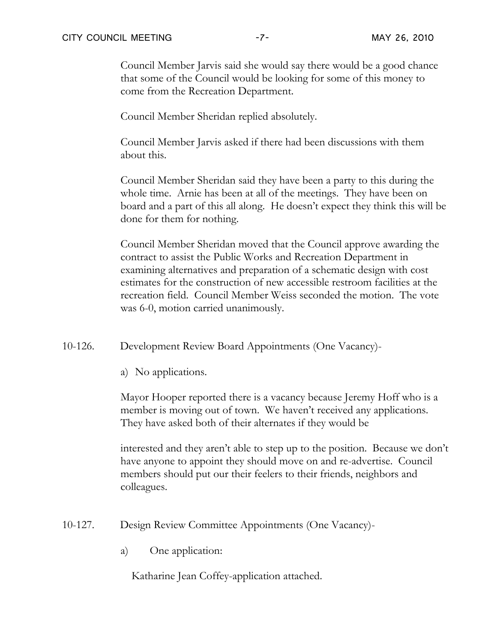Council Member Jarvis said she would say there would be a good chance that some of the Council would be looking for some of this money to come from the Recreation Department.

Council Member Sheridan replied absolutely.

Council Member Jarvis asked if there had been discussions with them about this.

Council Member Sheridan said they have been a party to this during the whole time. Arnie has been at all of the meetings. They have been on board and a part of this all along. He doesn't expect they think this will be done for them for nothing.

Council Member Sheridan moved that the Council approve awarding the contract to assist the Public Works and Recreation Department in examining alternatives and preparation of a schematic design with cost estimates for the construction of new accessible restroom facilities at the recreation field. Council Member Weiss seconded the motion. The vote was 6-0, motion carried unanimously.

10-126. Development Review Board Appointments (One Vacancy)-

a) No applications.

Mayor Hooper reported there is a vacancy because Jeremy Hoff who is a member is moving out of town. We haven't received any applications. They have asked both of their alternates if they would be

interested and they aren't able to step up to the position. Because we don't have anyone to appoint they should move on and re-advertise. Council members should put our their feelers to their friends, neighbors and colleagues.

10-127. Design Review Committee Appointments (One Vacancy)-

a) One application:

Katharine Jean Coffey-application attached.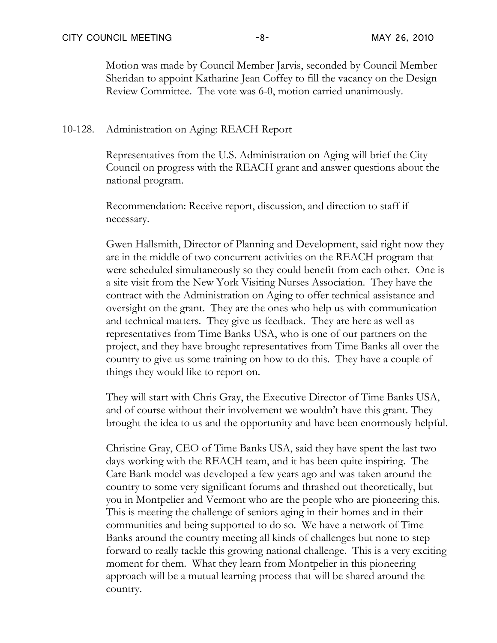Motion was made by Council Member Jarvis, seconded by Council Member Sheridan to appoint Katharine Jean Coffey to fill the vacancy on the Design Review Committee. The vote was 6-0, motion carried unanimously.

## 10-128. Administration on Aging: REACH Report

Representatives from the U.S. Administration on Aging will brief the City Council on progress with the REACH grant and answer questions about the national program.

Recommendation: Receive report, discussion, and direction to staff if necessary.

Gwen Hallsmith, Director of Planning and Development, said right now they are in the middle of two concurrent activities on the REACH program that were scheduled simultaneously so they could benefit from each other. One is a site visit from the New York Visiting Nurses Association. They have the contract with the Administration on Aging to offer technical assistance and oversight on the grant. They are the ones who help us with communication and technical matters. They give us feedback. They are here as well as representatives from Time Banks USA, who is one of our partners on the project, and they have brought representatives from Time Banks all over the country to give us some training on how to do this. They have a couple of things they would like to report on.

They will start with Chris Gray, the Executive Director of Time Banks USA, and of course without their involvement we wouldn't have this grant. They brought the idea to us and the opportunity and have been enormously helpful.

Christine Gray, CEO of Time Banks USA, said they have spent the last two days working with the REACH team, and it has been quite inspiring. The Care Bank model was developed a few years ago and was taken around the country to some very significant forums and thrashed out theoretically, but you in Montpelier and Vermont who are the people who are pioneering this. This is meeting the challenge of seniors aging in their homes and in their communities and being supported to do so. We have a network of Time Banks around the country meeting all kinds of challenges but none to step forward to really tackle this growing national challenge. This is a very exciting moment for them. What they learn from Montpelier in this pioneering approach will be a mutual learning process that will be shared around the country.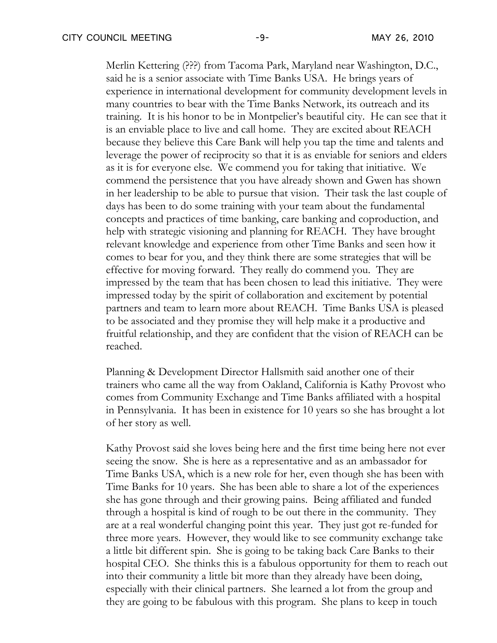Merlin Kettering (???) from Tacoma Park, Maryland near Washington, D.C., said he is a senior associate with Time Banks USA. He brings years of experience in international development for community development levels in many countries to bear with the Time Banks Network, its outreach and its training. It is his honor to be in Montpelier's beautiful city. He can see that it is an enviable place to live and call home. They are excited about REACH because they believe this Care Bank will help you tap the time and talents and leverage the power of reciprocity so that it is as enviable for seniors and elders as it is for everyone else. We commend you for taking that initiative. We commend the persistence that you have already shown and Gwen has shown in her leadership to be able to pursue that vision. Their task the last couple of days has been to do some training with your team about the fundamental concepts and practices of time banking, care banking and coproduction, and help with strategic visioning and planning for REACH. They have brought relevant knowledge and experience from other Time Banks and seen how it comes to bear for you, and they think there are some strategies that will be effective for moving forward. They really do commend you. They are impressed by the team that has been chosen to lead this initiative. They were impressed today by the spirit of collaboration and excitement by potential partners and team to learn more about REACH. Time Banks USA is pleased to be associated and they promise they will help make it a productive and fruitful relationship, and they are confident that the vision of REACH can be reached.

Planning & Development Director Hallsmith said another one of their trainers who came all the way from Oakland, California is Kathy Provost who comes from Community Exchange and Time Banks affiliated with a hospital in Pennsylvania. It has been in existence for 10 years so she has brought a lot of her story as well.

Kathy Provost said she loves being here and the first time being here not ever seeing the snow. She is here as a representative and as an ambassador for Time Banks USA, which is a new role for her, even though she has been with Time Banks for 10 years. She has been able to share a lot of the experiences she has gone through and their growing pains. Being affiliated and funded through a hospital is kind of rough to be out there in the community. They are at a real wonderful changing point this year. They just got re-funded for three more years. However, they would like to see community exchange take a little bit different spin. She is going to be taking back Care Banks to their hospital CEO. She thinks this is a fabulous opportunity for them to reach out into their community a little bit more than they already have been doing, especially with their clinical partners. She learned a lot from the group and they are going to be fabulous with this program. She plans to keep in touch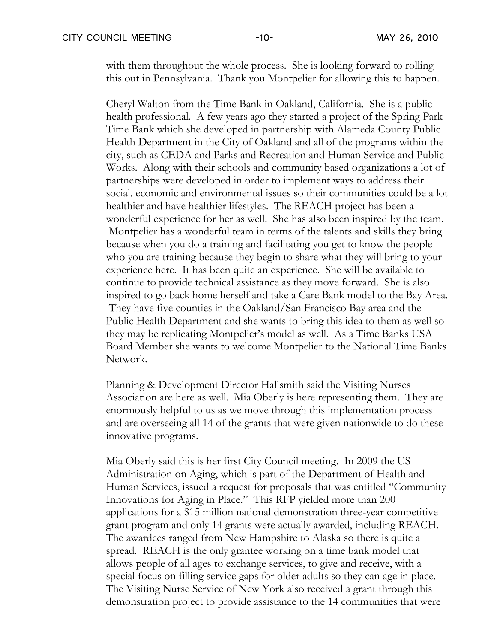with them throughout the whole process. She is looking forward to rolling this out in Pennsylvania. Thank you Montpelier for allowing this to happen.

Cheryl Walton from the Time Bank in Oakland, California. She is a public health professional. A few years ago they started a project of the Spring Park Time Bank which she developed in partnership with Alameda County Public Health Department in the City of Oakland and all of the programs within the city, such as CEDA and Parks and Recreation and Human Service and Public Works. Along with their schools and community based organizations a lot of partnerships were developed in order to implement ways to address their social, economic and environmental issues so their communities could be a lot healthier and have healthier lifestyles. The REACH project has been a wonderful experience for her as well. She has also been inspired by the team. Montpelier has a wonderful team in terms of the talents and skills they bring because when you do a training and facilitating you get to know the people who you are training because they begin to share what they will bring to your experience here. It has been quite an experience. She will be available to continue to provide technical assistance as they move forward. She is also inspired to go back home herself and take a Care Bank model to the Bay Area. They have five counties in the Oakland/San Francisco Bay area and the Public Health Department and she wants to bring this idea to them as well so they may be replicating Montpelier's model as well. As a Time Banks USA Board Member she wants to welcome Montpelier to the National Time Banks Network.

Planning & Development Director Hallsmith said the Visiting Nurses Association are here as well. Mia Oberly is here representing them. They are enormously helpful to us as we move through this implementation process and are overseeing all 14 of the grants that were given nationwide to do these innovative programs.

Mia Oberly said this is her first City Council meeting. In 2009 the US Administration on Aging, which is part of the Department of Health and Human Services, issued a request for proposals that was entitled "Community Innovations for Aging in Place." This RFP yielded more than 200 applications for a \$15 million national demonstration three-year competitive grant program and only 14 grants were actually awarded, including REACH. The awardees ranged from New Hampshire to Alaska so there is quite a spread. REACH is the only grantee working on a time bank model that allows people of all ages to exchange services, to give and receive, with a special focus on filling service gaps for older adults so they can age in place. The Visiting Nurse Service of New York also received a grant through this demonstration project to provide assistance to the 14 communities that were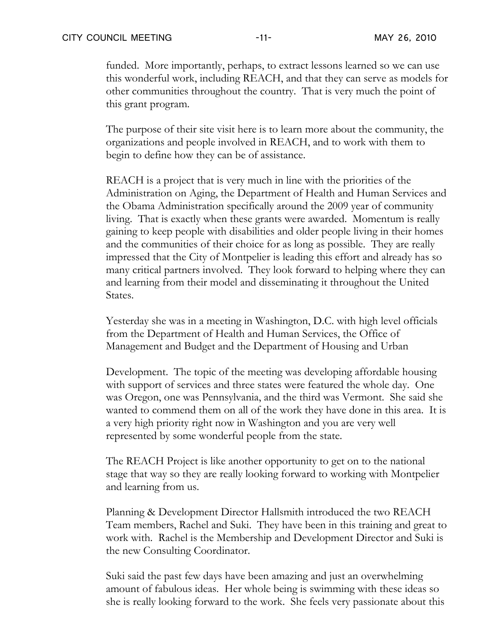funded. More importantly, perhaps, to extract lessons learned so we can use this wonderful work, including REACH, and that they can serve as models for other communities throughout the country. That is very much the point of this grant program.

The purpose of their site visit here is to learn more about the community, the organizations and people involved in REACH, and to work with them to begin to define how they can be of assistance.

REACH is a project that is very much in line with the priorities of the Administration on Aging, the Department of Health and Human Services and the Obama Administration specifically around the 2009 year of community living. That is exactly when these grants were awarded. Momentum is really gaining to keep people with disabilities and older people living in their homes and the communities of their choice for as long as possible. They are really impressed that the City of Montpelier is leading this effort and already has so many critical partners involved. They look forward to helping where they can and learning from their model and disseminating it throughout the United States.

Yesterday she was in a meeting in Washington, D.C. with high level officials from the Department of Health and Human Services, the Office of Management and Budget and the Department of Housing and Urban

Development. The topic of the meeting was developing affordable housing with support of services and three states were featured the whole day. One was Oregon, one was Pennsylvania, and the third was Vermont. She said she wanted to commend them on all of the work they have done in this area. It is a very high priority right now in Washington and you are very well represented by some wonderful people from the state.

The REACH Project is like another opportunity to get on to the national stage that way so they are really looking forward to working with Montpelier and learning from us.

Planning & Development Director Hallsmith introduced the two REACH Team members, Rachel and Suki. They have been in this training and great to work with. Rachel is the Membership and Development Director and Suki is the new Consulting Coordinator.

Suki said the past few days have been amazing and just an overwhelming amount of fabulous ideas. Her whole being is swimming with these ideas so she is really looking forward to the work. She feels very passionate about this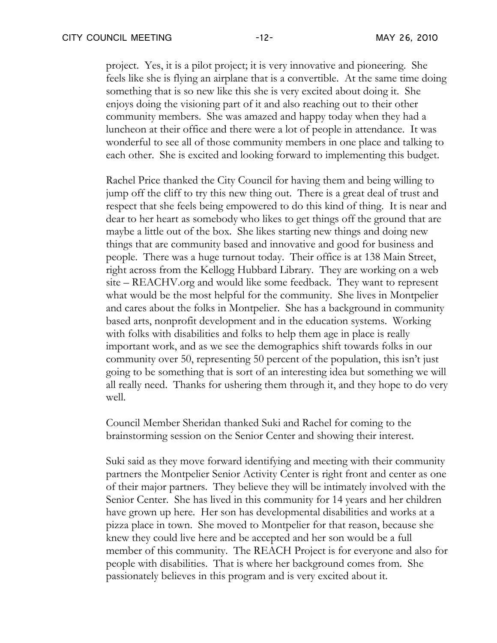project. Yes, it is a pilot project; it is very innovative and pioneering. She feels like she is flying an airplane that is a convertible. At the same time doing something that is so new like this she is very excited about doing it. She enjoys doing the visioning part of it and also reaching out to their other community members. She was amazed and happy today when they had a luncheon at their office and there were a lot of people in attendance. It was wonderful to see all of those community members in one place and talking to each other. She is excited and looking forward to implementing this budget.

Rachel Price thanked the City Council for having them and being willing to jump off the cliff to try this new thing out. There is a great deal of trust and respect that she feels being empowered to do this kind of thing. It is near and dear to her heart as somebody who likes to get things off the ground that are maybe a little out of the box. She likes starting new things and doing new things that are community based and innovative and good for business and people. There was a huge turnout today. Their office is at 138 Main Street, right across from the Kellogg Hubbard Library. They are working on a web site – REACHV.org and would like some feedback. They want to represent what would be the most helpful for the community. She lives in Montpelier and cares about the folks in Montpelier. She has a background in community based arts, nonprofit development and in the education systems. Working with folks with disabilities and folks to help them age in place is really important work, and as we see the demographics shift towards folks in our community over 50, representing 50 percent of the population, this isn't just going to be something that is sort of an interesting idea but something we will all really need. Thanks for ushering them through it, and they hope to do very well.

Council Member Sheridan thanked Suki and Rachel for coming to the brainstorming session on the Senior Center and showing their interest.

Suki said as they move forward identifying and meeting with their community partners the Montpelier Senior Activity Center is right front and center as one of their major partners. They believe they will be intimately involved with the Senior Center. She has lived in this community for 14 years and her children have grown up here. Her son has developmental disabilities and works at a pizza place in town. She moved to Montpelier for that reason, because she knew they could live here and be accepted and her son would be a full member of this community. The REACH Project is for everyone and also for people with disabilities. That is where her background comes from. She passionately believes in this program and is very excited about it.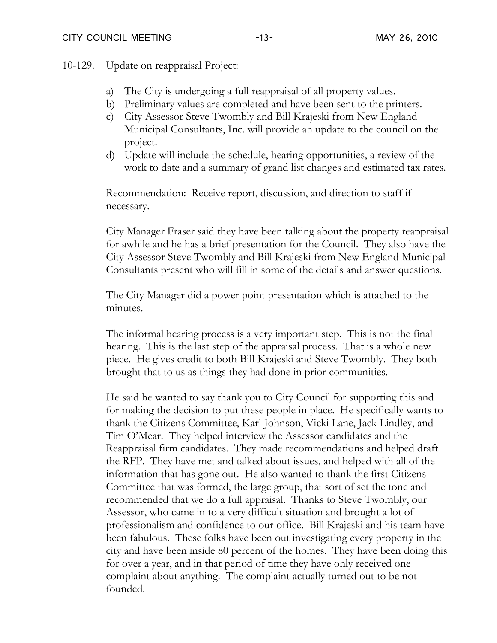10-129. Update on reappraisal Project:

- a) The City is undergoing a full reappraisal of all property values.
- b) Preliminary values are completed and have been sent to the printers.
- c) City Assessor Steve Twombly and Bill Krajeski from New England Municipal Consultants, Inc. will provide an update to the council on the project.
- d) Update will include the schedule, hearing opportunities, a review of the work to date and a summary of grand list changes and estimated tax rates.

Recommendation: Receive report, discussion, and direction to staff if necessary.

City Manager Fraser said they have been talking about the property reappraisal for awhile and he has a brief presentation for the Council. They also have the City Assessor Steve Twombly and Bill Krajeski from New England Municipal Consultants present who will fill in some of the details and answer questions.

The City Manager did a power point presentation which is attached to the minutes.

The informal hearing process is a very important step. This is not the final hearing. This is the last step of the appraisal process. That is a whole new piece. He gives credit to both Bill Krajeski and Steve Twombly. They both brought that to us as things they had done in prior communities.

He said he wanted to say thank you to City Council for supporting this and for making the decision to put these people in place. He specifically wants to thank the Citizens Committee, Karl Johnson, Vicki Lane, Jack Lindley, and Tim O'Mear. They helped interview the Assessor candidates and the Reappraisal firm candidates. They made recommendations and helped draft the RFP. They have met and talked about issues, and helped with all of the information that has gone out. He also wanted to thank the first Citizens Committee that was formed, the large group, that sort of set the tone and recommended that we do a full appraisal. Thanks to Steve Twombly, our Assessor, who came in to a very difficult situation and brought a lot of professionalism and confidence to our office. Bill Krajeski and his team have been fabulous. These folks have been out investigating every property in the city and have been inside 80 percent of the homes. They have been doing this for over a year, and in that period of time they have only received one complaint about anything. The complaint actually turned out to be not founded.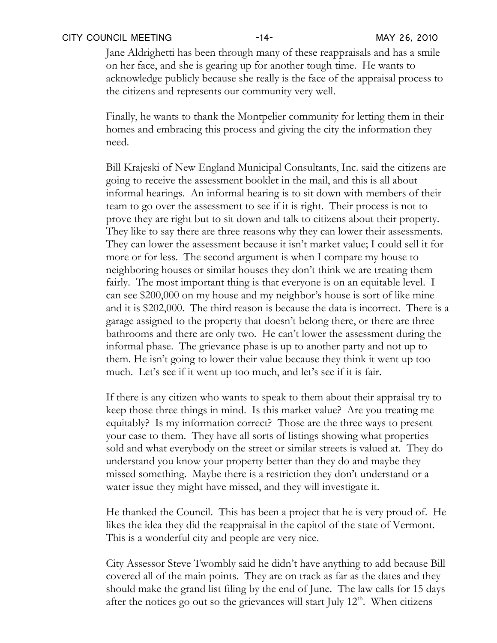Jane Aldrighetti has been through many of these reappraisals and has a smile on her face, and she is gearing up for another tough time. He wants to acknowledge publicly because she really is the face of the appraisal process to the citizens and represents our community very well.

Finally, he wants to thank the Montpelier community for letting them in their homes and embracing this process and giving the city the information they need.

Bill Krajeski of New England Municipal Consultants, Inc. said the citizens are going to receive the assessment booklet in the mail, and this is all about informal hearings. An informal hearing is to sit down with members of their team to go over the assessment to see if it is right. Their process is not to prove they are right but to sit down and talk to citizens about their property. They like to say there are three reasons why they can lower their assessments. They can lower the assessment because it isn't market value; I could sell it for more or for less. The second argument is when I compare my house to neighboring houses or similar houses they don't think we are treating them fairly. The most important thing is that everyone is on an equitable level. I can see \$200,000 on my house and my neighbor's house is sort of like mine and it is \$202,000. The third reason is because the data is incorrect. There is a garage assigned to the property that doesn't belong there, or there are three bathrooms and there are only two. He can't lower the assessment during the informal phase. The grievance phase is up to another party and not up to them. He isn't going to lower their value because they think it went up too much. Let's see if it went up too much, and let's see if it is fair.

If there is any citizen who wants to speak to them about their appraisal try to keep those three things in mind. Is this market value? Are you treating me equitably? Is my information correct? Those are the three ways to present your case to them. They have all sorts of listings showing what properties sold and what everybody on the street or similar streets is valued at. They do understand you know your property better than they do and maybe they missed something. Maybe there is a restriction they don't understand or a water issue they might have missed, and they will investigate it.

He thanked the Council. This has been a project that he is very proud of. He likes the idea they did the reappraisal in the capitol of the state of Vermont. This is a wonderful city and people are very nice.

City Assessor Steve Twombly said he didn't have anything to add because Bill covered all of the main points. They are on track as far as the dates and they should make the grand list filing by the end of June. The law calls for 15 days after the notices go out so the grievances will start July  $12<sup>th</sup>$ . When citizens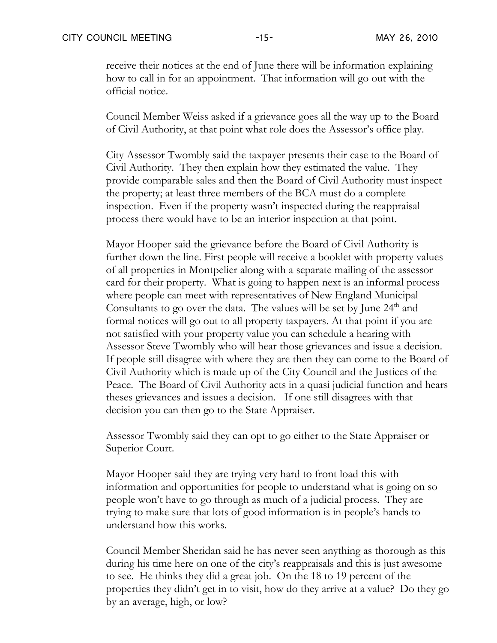receive their notices at the end of June there will be information explaining how to call in for an appointment. That information will go out with the official notice.

Council Member Weiss asked if a grievance goes all the way up to the Board of Civil Authority, at that point what role does the Assessor's office play.

City Assessor Twombly said the taxpayer presents their case to the Board of Civil Authority. They then explain how they estimated the value. They provide comparable sales and then the Board of Civil Authority must inspect the property; at least three members of the BCA must do a complete inspection. Even if the property wasn't inspected during the reappraisal process there would have to be an interior inspection at that point.

Mayor Hooper said the grievance before the Board of Civil Authority is further down the line. First people will receive a booklet with property values of all properties in Montpelier along with a separate mailing of the assessor card for their property. What is going to happen next is an informal process where people can meet with representatives of New England Municipal Consultants to go over the data. The values will be set by June 24<sup>th</sup> and formal notices will go out to all property taxpayers. At that point if you are not satisfied with your property value you can schedule a hearing with Assessor Steve Twombly who will hear those grievances and issue a decision. If people still disagree with where they are then they can come to the Board of Civil Authority which is made up of the City Council and the Justices of the Peace. The Board of Civil Authority acts in a quasi judicial function and hears theses grievances and issues a decision. If one still disagrees with that decision you can then go to the State Appraiser.

Assessor Twombly said they can opt to go either to the State Appraiser or Superior Court.

Mayor Hooper said they are trying very hard to front load this with information and opportunities for people to understand what is going on so people won't have to go through as much of a judicial process. They are trying to make sure that lots of good information is in people's hands to understand how this works.

Council Member Sheridan said he has never seen anything as thorough as this during his time here on one of the city's reappraisals and this is just awesome to see. He thinks they did a great job. On the 18 to 19 percent of the properties they didn't get in to visit, how do they arrive at a value? Do they go by an average, high, or low?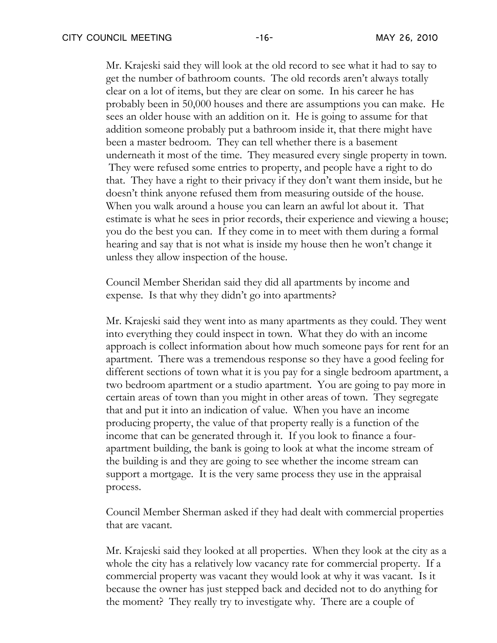Mr. Krajeski said they will look at the old record to see what it had to say to get the number of bathroom counts. The old records aren't always totally clear on a lot of items, but they are clear on some. In his career he has probably been in 50,000 houses and there are assumptions you can make. He sees an older house with an addition on it. He is going to assume for that addition someone probably put a bathroom inside it, that there might have been a master bedroom. They can tell whether there is a basement underneath it most of the time. They measured every single property in town. They were refused some entries to property, and people have a right to do that. They have a right to their privacy if they don't want them inside, but he doesn't think anyone refused them from measuring outside of the house. When you walk around a house you can learn an awful lot about it. That estimate is what he sees in prior records, their experience and viewing a house; you do the best you can. If they come in to meet with them during a formal hearing and say that is not what is inside my house then he won't change it unless they allow inspection of the house.

Council Member Sheridan said they did all apartments by income and expense. Is that why they didn't go into apartments?

Mr. Krajeski said they went into as many apartments as they could. They went into everything they could inspect in town. What they do with an income approach is collect information about how much someone pays for rent for an apartment. There was a tremendous response so they have a good feeling for different sections of town what it is you pay for a single bedroom apartment, a two bedroom apartment or a studio apartment. You are going to pay more in certain areas of town than you might in other areas of town. They segregate that and put it into an indication of value. When you have an income producing property, the value of that property really is a function of the income that can be generated through it. If you look to finance a fourapartment building, the bank is going to look at what the income stream of the building is and they are going to see whether the income stream can support a mortgage. It is the very same process they use in the appraisal process.

Council Member Sherman asked if they had dealt with commercial properties that are vacant.

Mr. Krajeski said they looked at all properties. When they look at the city as a whole the city has a relatively low vacancy rate for commercial property. If a commercial property was vacant they would look at why it was vacant. Is it because the owner has just stepped back and decided not to do anything for the moment? They really try to investigate why. There are a couple of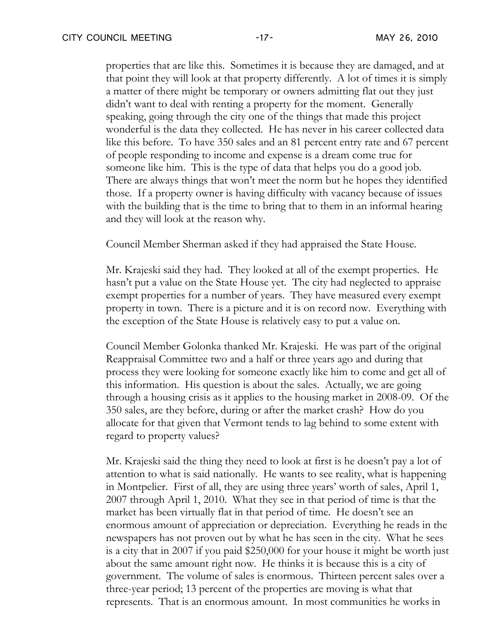properties that are like this. Sometimes it is because they are damaged, and at that point they will look at that property differently. A lot of times it is simply a matter of there might be temporary or owners admitting flat out they just didn't want to deal with renting a property for the moment. Generally speaking, going through the city one of the things that made this project wonderful is the data they collected. He has never in his career collected data like this before. To have 350 sales and an 81 percent entry rate and 67 percent of people responding to income and expense is a dream come true for someone like him. This is the type of data that helps you do a good job. There are always things that won't meet the norm but he hopes they identified those. If a property owner is having difficulty with vacancy because of issues with the building that is the time to bring that to them in an informal hearing and they will look at the reason why.

Council Member Sherman asked if they had appraised the State House.

Mr. Krajeski said they had. They looked at all of the exempt properties. He hasn't put a value on the State House yet. The city had neglected to appraise exempt properties for a number of years. They have measured every exempt property in town. There is a picture and it is on record now. Everything with the exception of the State House is relatively easy to put a value on.

Council Member Golonka thanked Mr. Krajeski. He was part of the original Reappraisal Committee two and a half or three years ago and during that process they were looking for someone exactly like him to come and get all of this information. His question is about the sales. Actually, we are going through a housing crisis as it applies to the housing market in 2008-09. Of the 350 sales, are they before, during or after the market crash? How do you allocate for that given that Vermont tends to lag behind to some extent with regard to property values?

Mr. Krajeski said the thing they need to look at first is he doesn't pay a lot of attention to what is said nationally. He wants to see reality, what is happening in Montpelier. First of all, they are using three years' worth of sales, April 1, 2007 through April 1, 2010. What they see in that period of time is that the market has been virtually flat in that period of time. He doesn't see an enormous amount of appreciation or depreciation. Everything he reads in the newspapers has not proven out by what he has seen in the city. What he sees is a city that in 2007 if you paid \$250,000 for your house it might be worth just about the same amount right now. He thinks it is because this is a city of government. The volume of sales is enormous. Thirteen percent sales over a three-year period; 13 percent of the properties are moving is what that represents. That is an enormous amount. In most communities he works in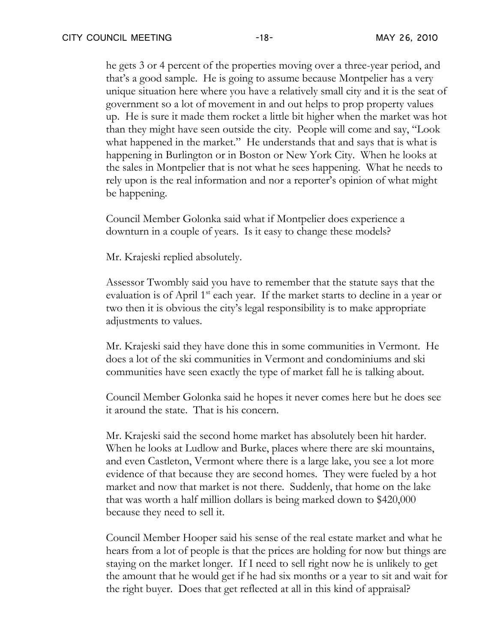he gets 3 or 4 percent of the properties moving over a three-year period, and that's a good sample. He is going to assume because Montpelier has a very unique situation here where you have a relatively small city and it is the seat of government so a lot of movement in and out helps to prop property values up. He is sure it made them rocket a little bit higher when the market was hot than they might have seen outside the city. People will come and say, "Look what happened in the market." He understands that and says that is what is happening in Burlington or in Boston or New York City. When he looks at the sales in Montpelier that is not what he sees happening. What he needs to rely upon is the real information and nor a reporter's opinion of what might be happening.

Council Member Golonka said what if Montpelier does experience a downturn in a couple of years. Is it easy to change these models?

Mr. Krajeski replied absolutely.

Assessor Twombly said you have to remember that the statute says that the evaluation is of April  $1<sup>st</sup>$  each year. If the market starts to decline in a year or two then it is obvious the city's legal responsibility is to make appropriate adjustments to values.

Mr. Krajeski said they have done this in some communities in Vermont. He does a lot of the ski communities in Vermont and condominiums and ski communities have seen exactly the type of market fall he is talking about.

Council Member Golonka said he hopes it never comes here but he does see it around the state. That is his concern.

Mr. Krajeski said the second home market has absolutely been hit harder. When he looks at Ludlow and Burke, places where there are ski mountains, and even Castleton, Vermont where there is a large lake, you see a lot more evidence of that because they are second homes. They were fueled by a hot market and now that market is not there. Suddenly, that home on the lake that was worth a half million dollars is being marked down to \$420,000 because they need to sell it.

Council Member Hooper said his sense of the real estate market and what he hears from a lot of people is that the prices are holding for now but things are staying on the market longer. If I need to sell right now he is unlikely to get the amount that he would get if he had six months or a year to sit and wait for the right buyer. Does that get reflected at all in this kind of appraisal?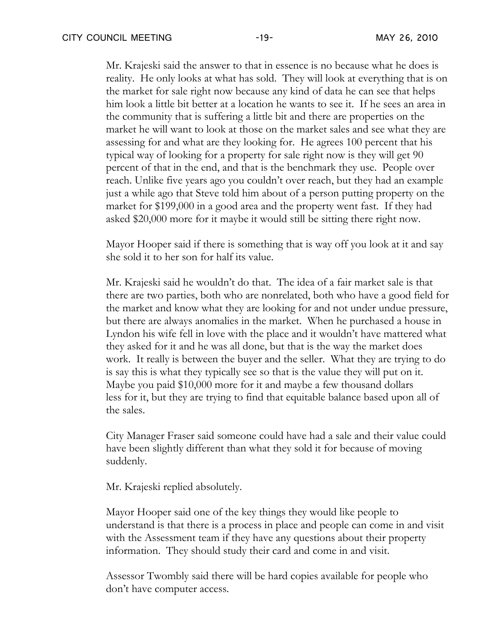Mr. Krajeski said the answer to that in essence is no because what he does is reality. He only looks at what has sold. They will look at everything that is on the market for sale right now because any kind of data he can see that helps him look a little bit better at a location he wants to see it. If he sees an area in the community that is suffering a little bit and there are properties on the market he will want to look at those on the market sales and see what they are assessing for and what are they looking for. He agrees 100 percent that his typical way of looking for a property for sale right now is they will get 90 percent of that in the end, and that is the benchmark they use. People over reach. Unlike five years ago you couldn't over reach, but they had an example just a while ago that Steve told him about of a person putting property on the market for \$199,000 in a good area and the property went fast. If they had asked \$20,000 more for it maybe it would still be sitting there right now.

Mayor Hooper said if there is something that is way off you look at it and say she sold it to her son for half its value.

Mr. Krajeski said he wouldn't do that. The idea of a fair market sale is that there are two parties, both who are nonrelated, both who have a good field for the market and know what they are looking for and not under undue pressure, but there are always anomalies in the market. When he purchased a house in Lyndon his wife fell in love with the place and it wouldn't have mattered what they asked for it and he was all done, but that is the way the market does work. It really is between the buyer and the seller. What they are trying to do is say this is what they typically see so that is the value they will put on it. Maybe you paid \$10,000 more for it and maybe a few thousand dollars less for it, but they are trying to find that equitable balance based upon all of the sales.

City Manager Fraser said someone could have had a sale and their value could have been slightly different than what they sold it for because of moving suddenly.

Mr. Krajeski replied absolutely.

Mayor Hooper said one of the key things they would like people to understand is that there is a process in place and people can come in and visit with the Assessment team if they have any questions about their property information. They should study their card and come in and visit.

Assessor Twombly said there will be hard copies available for people who don't have computer access.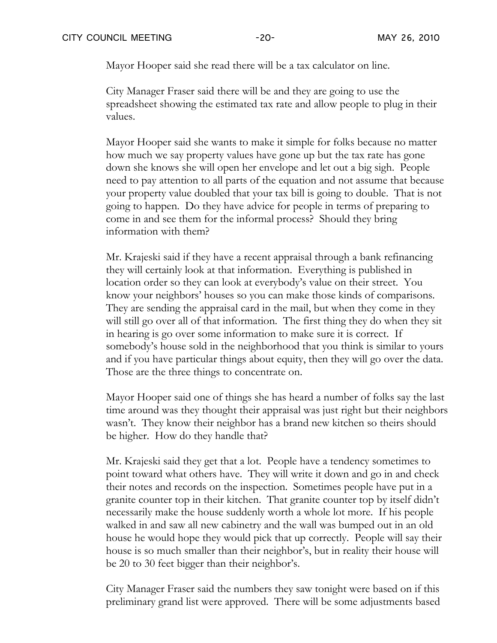Mayor Hooper said she read there will be a tax calculator on line.

City Manager Fraser said there will be and they are going to use the spreadsheet showing the estimated tax rate and allow people to plug in their values.

Mayor Hooper said she wants to make it simple for folks because no matter how much we say property values have gone up but the tax rate has gone down she knows she will open her envelope and let out a big sigh. People need to pay attention to all parts of the equation and not assume that because your property value doubled that your tax bill is going to double. That is not going to happen. Do they have advice for people in terms of preparing to come in and see them for the informal process? Should they bring information with them?

Mr. Krajeski said if they have a recent appraisal through a bank refinancing they will certainly look at that information. Everything is published in location order so they can look at everybody's value on their street. You know your neighbors' houses so you can make those kinds of comparisons. They are sending the appraisal card in the mail, but when they come in they will still go over all of that information. The first thing they do when they sit in hearing is go over some information to make sure it is correct. If somebody's house sold in the neighborhood that you think is similar to yours and if you have particular things about equity, then they will go over the data. Those are the three things to concentrate on.

Mayor Hooper said one of things she has heard a number of folks say the last time around was they thought their appraisal was just right but their neighbors wasn't. They know their neighbor has a brand new kitchen so theirs should be higher. How do they handle that?

Mr. Krajeski said they get that a lot. People have a tendency sometimes to point toward what others have. They will write it down and go in and check their notes and records on the inspection. Sometimes people have put in a granite counter top in their kitchen. That granite counter top by itself didn't necessarily make the house suddenly worth a whole lot more. If his people walked in and saw all new cabinetry and the wall was bumped out in an old house he would hope they would pick that up correctly. People will say their house is so much smaller than their neighbor's, but in reality their house will be 20 to 30 feet bigger than their neighbor's.

City Manager Fraser said the numbers they saw tonight were based on if this preliminary grand list were approved. There will be some adjustments based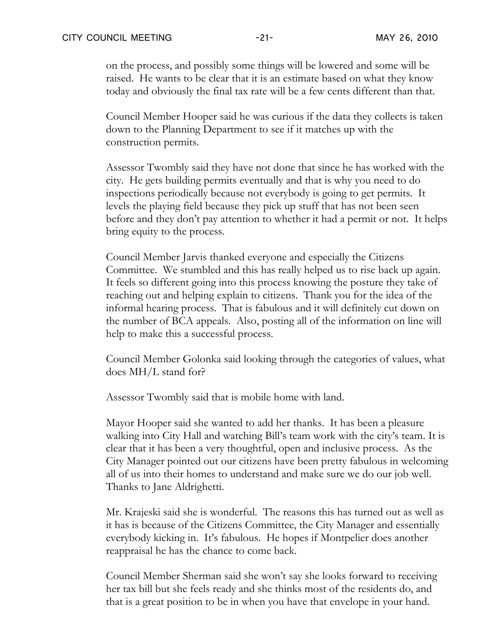on the process, and possibly some things will be lowered and some will be raised. He wants to be clear that it is an estimate based on what they know today and obviously the final tax rate will be a few cents different than that.

Council Member Hooper said he was curious if the data they collects is taken down to the Planning Department to see if it matches up with the construction permits.

Assessor Twombly said they have not done that since he has worked with the city. He gets building permits eventually and that is why you need to do inspections periodically because not everybody is going to get permits. It levels the playing field because they pick up stuff that has not been seen before and they don't pay attention to whether it had a permit or not. It helps bring equity to the process.

Council Member Jarvis thanked everyone and especially the Citizens Committee. We stumbled and this has really helped us to rise back up again. It feels so different going into this process knowing the posture they take of reaching out and helping explain to citizens. Thank you for the idea of the informal hearing process. That is fabulous and it will definitely cut down on the number of BCA appeals. Also, posting all of the information on line will help to make this a successful process.

Council Member Golonka said looking through the categories of values, what does MH/L stand for?

Assessor Twombly said that is mobile home with land.

Mayor Hooper said she wanted to add her thanks. It has been a pleasure walking into City Hall and watching Bill's team work with the city's team. It is clear that it has been a very thoughtful, open and inclusive process. As the City Manager pointed out our citizens have been pretty fabulous in welcoming all of us into their homes to understand and make sure we do our job well. Thanks to Jane Aldrighetti.

Mr. Krajeski said she is wonderful. The reasons this has turned out as well as it has is because of the Citizens Committee, the City Manager and essentially everybody kicking in. It's fabulous. He hopes if Montpelier does another reappraisal he has the chance to come back.

Council Member Sherman said she won't say she looks forward to receiving her tax bill but she feels ready and she thinks most of the residents do, and that is a great position to be in when you have that envelope in your hand.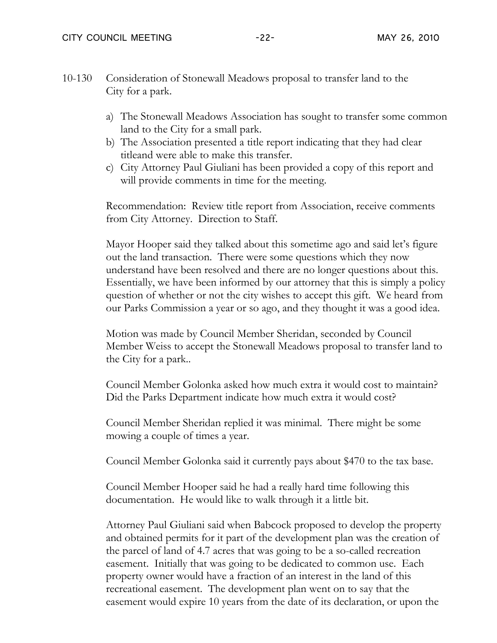- 10-130 Consideration of Stonewall Meadows proposal to transfer land to the City for a park.
	- a) The Stonewall Meadows Association has sought to transfer some common land to the City for a small park.
	- b) The Association presented a title report indicating that they had clear titleand were able to make this transfer.
	- c) City Attorney Paul Giuliani has been provided a copy of this report and will provide comments in time for the meeting.

Recommendation: Review title report from Association, receive comments from City Attorney. Direction to Staff.

Mayor Hooper said they talked about this sometime ago and said let's figure out the land transaction. There were some questions which they now understand have been resolved and there are no longer questions about this. Essentially, we have been informed by our attorney that this is simply a policy question of whether or not the city wishes to accept this gift. We heard from our Parks Commission a year or so ago, and they thought it was a good idea.

Motion was made by Council Member Sheridan, seconded by Council Member Weiss to accept the Stonewall Meadows proposal to transfer land to the City for a park..

Council Member Golonka asked how much extra it would cost to maintain? Did the Parks Department indicate how much extra it would cost?

Council Member Sheridan replied it was minimal. There might be some mowing a couple of times a year.

Council Member Golonka said it currently pays about \$470 to the tax base.

Council Member Hooper said he had a really hard time following this documentation. He would like to walk through it a little bit.

Attorney Paul Giuliani said when Babcock proposed to develop the property and obtained permits for it part of the development plan was the creation of the parcel of land of 4.7 acres that was going to be a so-called recreation easement. Initially that was going to be dedicated to common use. Each property owner would have a fraction of an interest in the land of this recreational easement. The development plan went on to say that the easement would expire 10 years from the date of its declaration, or upon the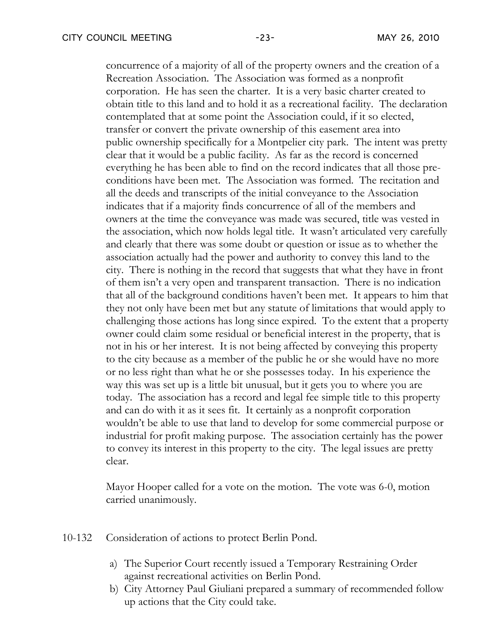concurrence of a majority of all of the property owners and the creation of a Recreation Association. The Association was formed as a nonprofit corporation. He has seen the charter. It is a very basic charter created to obtain title to this land and to hold it as a recreational facility. The declaration contemplated that at some point the Association could, if it so elected, transfer or convert the private ownership of this easement area into public ownership specifically for a Montpelier city park. The intent was pretty clear that it would be a public facility. As far as the record is concerned everything he has been able to find on the record indicates that all those preconditions have been met. The Association was formed. The recitation and all the deeds and transcripts of the initial conveyance to the Association indicates that if a majority finds concurrence of all of the members and owners at the time the conveyance was made was secured, title was vested in the association, which now holds legal title. It wasn't articulated very carefully and clearly that there was some doubt or question or issue as to whether the association actually had the power and authority to convey this land to the city. There is nothing in the record that suggests that what they have in front of them isn't a very open and transparent transaction. There is no indication that all of the background conditions haven't been met. It appears to him that they not only have been met but any statute of limitations that would apply to challenging those actions has long since expired. To the extent that a property owner could claim some residual or beneficial interest in the property, that is not in his or her interest. It is not being affected by conveying this property to the city because as a member of the public he or she would have no more or no less right than what he or she possesses today. In his experience the way this was set up is a little bit unusual, but it gets you to where you are today. The association has a record and legal fee simple title to this property and can do with it as it sees fit. It certainly as a nonprofit corporation wouldn't be able to use that land to develop for some commercial purpose or industrial for profit making purpose. The association certainly has the power to convey its interest in this property to the city. The legal issues are pretty clear.

Mayor Hooper called for a vote on the motion. The vote was 6-0, motion carried unanimously.

- 10-132 Consideration of actions to protect Berlin Pond.
	- a) The Superior Court recently issued a Temporary Restraining Order against recreational activities on Berlin Pond.
	- b) City Attorney Paul Giuliani prepared a summary of recommended follow up actions that the City could take.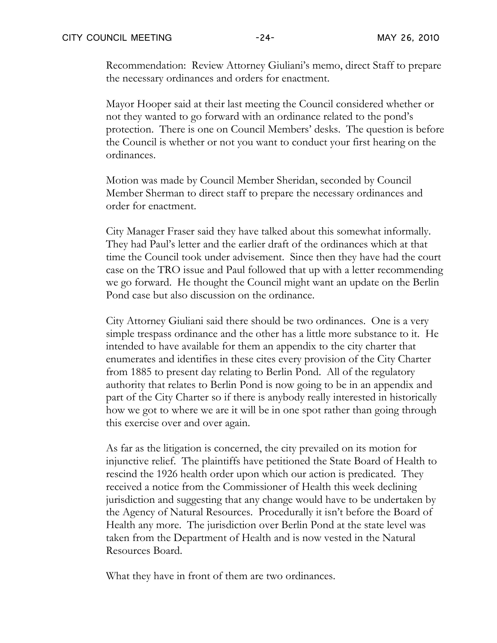Recommendation: Review Attorney Giuliani's memo, direct Staff to prepare the necessary ordinances and orders for enactment.

Mayor Hooper said at their last meeting the Council considered whether or not they wanted to go forward with an ordinance related to the pond's protection. There is one on Council Members' desks. The question is before the Council is whether or not you want to conduct your first hearing on the ordinances.

Motion was made by Council Member Sheridan, seconded by Council Member Sherman to direct staff to prepare the necessary ordinances and order for enactment.

City Manager Fraser said they have talked about this somewhat informally. They had Paul's letter and the earlier draft of the ordinances which at that time the Council took under advisement. Since then they have had the court case on the TRO issue and Paul followed that up with a letter recommending we go forward. He thought the Council might want an update on the Berlin Pond case but also discussion on the ordinance.

City Attorney Giuliani said there should be two ordinances. One is a very simple trespass ordinance and the other has a little more substance to it. He intended to have available for them an appendix to the city charter that enumerates and identifies in these cites every provision of the City Charter from 1885 to present day relating to Berlin Pond. All of the regulatory authority that relates to Berlin Pond is now going to be in an appendix and part of the City Charter so if there is anybody really interested in historically how we got to where we are it will be in one spot rather than going through this exercise over and over again.

As far as the litigation is concerned, the city prevailed on its motion for injunctive relief. The plaintiffs have petitioned the State Board of Health to rescind the 1926 health order upon which our action is predicated. They received a notice from the Commissioner of Health this week declining jurisdiction and suggesting that any change would have to be undertaken by the Agency of Natural Resources. Procedurally it isn't before the Board of Health any more. The jurisdiction over Berlin Pond at the state level was taken from the Department of Health and is now vested in the Natural Resources Board.

What they have in front of them are two ordinances.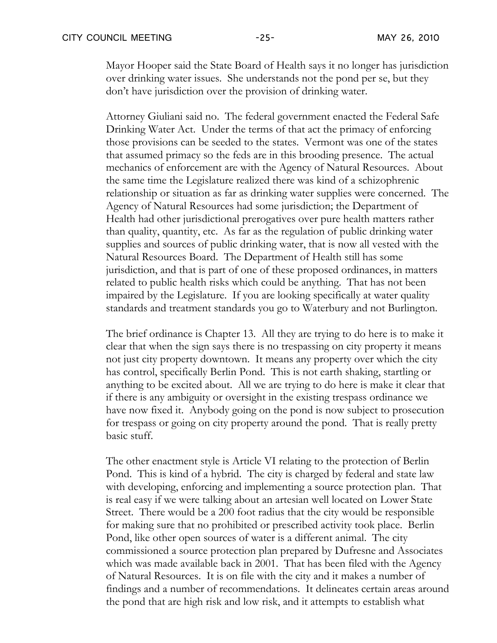Mayor Hooper said the State Board of Health says it no longer has jurisdiction over drinking water issues. She understands not the pond per se, but they don't have jurisdiction over the provision of drinking water.

Attorney Giuliani said no. The federal government enacted the Federal Safe Drinking Water Act. Under the terms of that act the primacy of enforcing those provisions can be seeded to the states. Vermont was one of the states that assumed primacy so the feds are in this brooding presence. The actual mechanics of enforcement are with the Agency of Natural Resources. About the same time the Legislature realized there was kind of a schizophrenic relationship or situation as far as drinking water supplies were concerned. The Agency of Natural Resources had some jurisdiction; the Department of Health had other jurisdictional prerogatives over pure health matters rather than quality, quantity, etc. As far as the regulation of public drinking water supplies and sources of public drinking water, that is now all vested with the Natural Resources Board. The Department of Health still has some jurisdiction, and that is part of one of these proposed ordinances, in matters related to public health risks which could be anything. That has not been impaired by the Legislature. If you are looking specifically at water quality standards and treatment standards you go to Waterbury and not Burlington.

The brief ordinance is Chapter 13. All they are trying to do here is to make it clear that when the sign says there is no trespassing on city property it means not just city property downtown. It means any property over which the city has control, specifically Berlin Pond. This is not earth shaking, startling or anything to be excited about. All we are trying to do here is make it clear that if there is any ambiguity or oversight in the existing trespass ordinance we have now fixed it. Anybody going on the pond is now subject to prosecution for trespass or going on city property around the pond. That is really pretty basic stuff.

The other enactment style is Article VI relating to the protection of Berlin Pond. This is kind of a hybrid. The city is charged by federal and state law with developing, enforcing and implementing a source protection plan. That is real easy if we were talking about an artesian well located on Lower State Street. There would be a 200 foot radius that the city would be responsible for making sure that no prohibited or prescribed activity took place. Berlin Pond, like other open sources of water is a different animal. The city commissioned a source protection plan prepared by Dufresne and Associates which was made available back in 2001. That has been filed with the Agency of Natural Resources. It is on file with the city and it makes a number of findings and a number of recommendations. It delineates certain areas around the pond that are high risk and low risk, and it attempts to establish what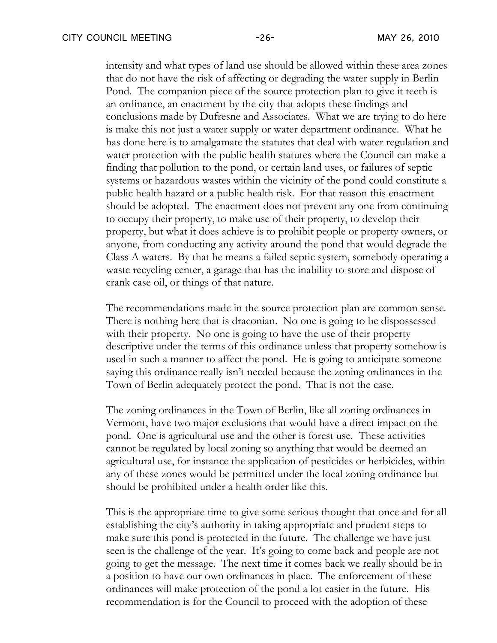intensity and what types of land use should be allowed within these area zones that do not have the risk of affecting or degrading the water supply in Berlin Pond. The companion piece of the source protection plan to give it teeth is an ordinance, an enactment by the city that adopts these findings and conclusions made by Dufresne and Associates. What we are trying to do here is make this not just a water supply or water department ordinance. What he has done here is to amalgamate the statutes that deal with water regulation and water protection with the public health statutes where the Council can make a finding that pollution to the pond, or certain land uses, or failures of septic systems or hazardous wastes within the vicinity of the pond could constitute a public health hazard or a public health risk. For that reason this enactment should be adopted. The enactment does not prevent any one from continuing to occupy their property, to make use of their property, to develop their property, but what it does achieve is to prohibit people or property owners, or anyone, from conducting any activity around the pond that would degrade the Class A waters. By that he means a failed septic system, somebody operating a waste recycling center, a garage that has the inability to store and dispose of crank case oil, or things of that nature.

The recommendations made in the source protection plan are common sense. There is nothing here that is draconian. No one is going to be dispossessed with their property. No one is going to have the use of their property descriptive under the terms of this ordinance unless that property somehow is used in such a manner to affect the pond. He is going to anticipate someone saying this ordinance really isn't needed because the zoning ordinances in the Town of Berlin adequately protect the pond. That is not the case.

The zoning ordinances in the Town of Berlin, like all zoning ordinances in Vermont, have two major exclusions that would have a direct impact on the pond. One is agricultural use and the other is forest use. These activities cannot be regulated by local zoning so anything that would be deemed an agricultural use, for instance the application of pesticides or herbicides, within any of these zones would be permitted under the local zoning ordinance but should be prohibited under a health order like this.

This is the appropriate time to give some serious thought that once and for all establishing the city's authority in taking appropriate and prudent steps to make sure this pond is protected in the future. The challenge we have just seen is the challenge of the year. It's going to come back and people are not going to get the message. The next time it comes back we really should be in a position to have our own ordinances in place. The enforcement of these ordinances will make protection of the pond a lot easier in the future. His recommendation is for the Council to proceed with the adoption of these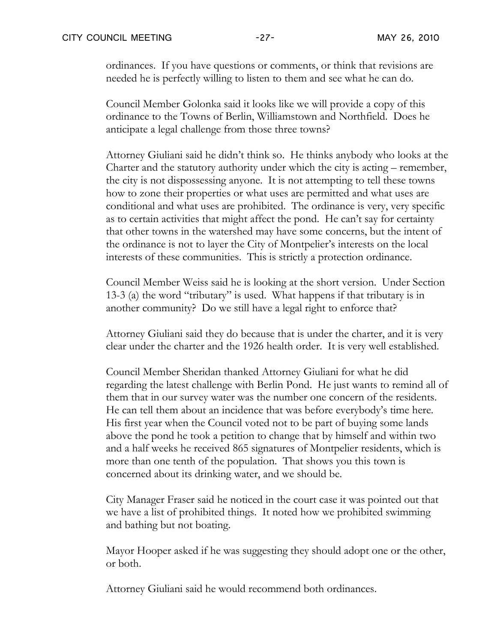ordinances. If you have questions or comments, or think that revisions are needed he is perfectly willing to listen to them and see what he can do.

Council Member Golonka said it looks like we will provide a copy of this ordinance to the Towns of Berlin, Williamstown and Northfield. Does he anticipate a legal challenge from those three towns?

Attorney Giuliani said he didn't think so. He thinks anybody who looks at the Charter and the statutory authority under which the city is acting – remember, the city is not dispossessing anyone. It is not attempting to tell these towns how to zone their properties or what uses are permitted and what uses are conditional and what uses are prohibited. The ordinance is very, very specific as to certain activities that might affect the pond. He can't say for certainty that other towns in the watershed may have some concerns, but the intent of the ordinance is not to layer the City of Montpelier's interests on the local interests of these communities. This is strictly a protection ordinance.

Council Member Weiss said he is looking at the short version. Under Section 13-3 (a) the word "tributary" is used. What happens if that tributary is in another community? Do we still have a legal right to enforce that?

Attorney Giuliani said they do because that is under the charter, and it is very clear under the charter and the 1926 health order. It is very well established.

Council Member Sheridan thanked Attorney Giuliani for what he did regarding the latest challenge with Berlin Pond. He just wants to remind all of them that in our survey water was the number one concern of the residents. He can tell them about an incidence that was before everybody's time here. His first year when the Council voted not to be part of buying some lands above the pond he took a petition to change that by himself and within two and a half weeks he received 865 signatures of Montpelier residents, which is more than one tenth of the population. That shows you this town is concerned about its drinking water, and we should be.

City Manager Fraser said he noticed in the court case it was pointed out that we have a list of prohibited things. It noted how we prohibited swimming and bathing but not boating.

Mayor Hooper asked if he was suggesting they should adopt one or the other, or both.

Attorney Giuliani said he would recommend both ordinances.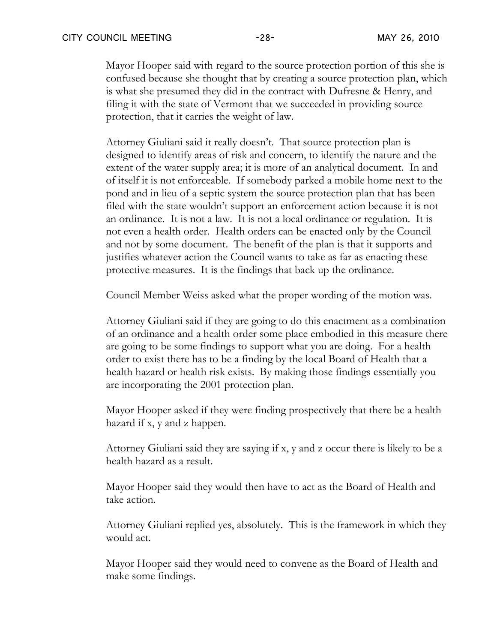Mayor Hooper said with regard to the source protection portion of this she is confused because she thought that by creating a source protection plan, which is what she presumed they did in the contract with Dufresne & Henry, and filing it with the state of Vermont that we succeeded in providing source protection, that it carries the weight of law.

Attorney Giuliani said it really doesn't. That source protection plan is designed to identify areas of risk and concern, to identify the nature and the extent of the water supply area; it is more of an analytical document. In and of itself it is not enforceable. If somebody parked a mobile home next to the pond and in lieu of a septic system the source protection plan that has been filed with the state wouldn't support an enforcement action because it is not an ordinance. It is not a law. It is not a local ordinance or regulation. It is not even a health order. Health orders can be enacted only by the Council and not by some document. The benefit of the plan is that it supports and justifies whatever action the Council wants to take as far as enacting these protective measures. It is the findings that back up the ordinance.

Council Member Weiss asked what the proper wording of the motion was.

Attorney Giuliani said if they are going to do this enactment as a combination of an ordinance and a health order some place embodied in this measure there are going to be some findings to support what you are doing. For a health order to exist there has to be a finding by the local Board of Health that a health hazard or health risk exists. By making those findings essentially you are incorporating the 2001 protection plan.

Mayor Hooper asked if they were finding prospectively that there be a health hazard if x, y and z happen.

Attorney Giuliani said they are saying if x, y and z occur there is likely to be a health hazard as a result.

Mayor Hooper said they would then have to act as the Board of Health and take action.

Attorney Giuliani replied yes, absolutely. This is the framework in which they would act.

Mayor Hooper said they would need to convene as the Board of Health and make some findings.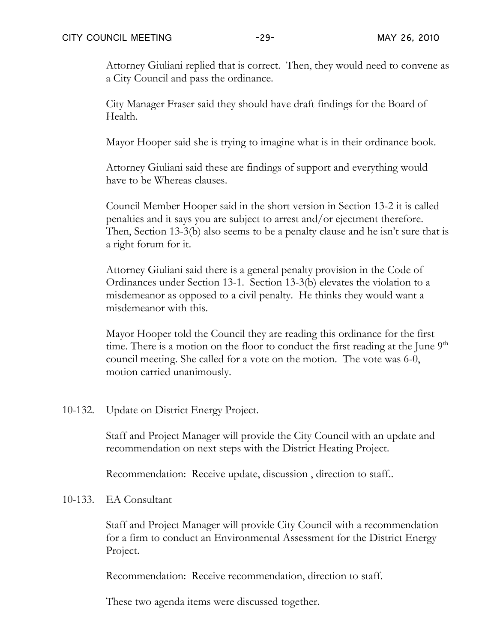Attorney Giuliani replied that is correct. Then, they would need to convene as a City Council and pass the ordinance.

City Manager Fraser said they should have draft findings for the Board of Health.

Mayor Hooper said she is trying to imagine what is in their ordinance book.

Attorney Giuliani said these are findings of support and everything would have to be Whereas clauses.

Council Member Hooper said in the short version in Section 13-2 it is called penalties and it says you are subject to arrest and/or ejectment therefore. Then, Section 13-3(b) also seems to be a penalty clause and he isn't sure that is a right forum for it.

Attorney Giuliani said there is a general penalty provision in the Code of Ordinances under Section 13-1. Section 13-3(b) elevates the violation to a misdemeanor as opposed to a civil penalty. He thinks they would want a misdemeanor with this.

Mayor Hooper told the Council they are reading this ordinance for the first time. There is a motion on the floor to conduct the first reading at the June  $9<sup>th</sup>$ council meeting. She called for a vote on the motion. The vote was 6-0, motion carried unanimously.

10-132. Update on District Energy Project.

Staff and Project Manager will provide the City Council with an update and recommendation on next steps with the District Heating Project.

Recommendation: Receive update, discussion , direction to staff..

10-133. EA Consultant

Staff and Project Manager will provide City Council with a recommendation for a firm to conduct an Environmental Assessment for the District Energy Project.

Recommendation: Receive recommendation, direction to staff.

These two agenda items were discussed together.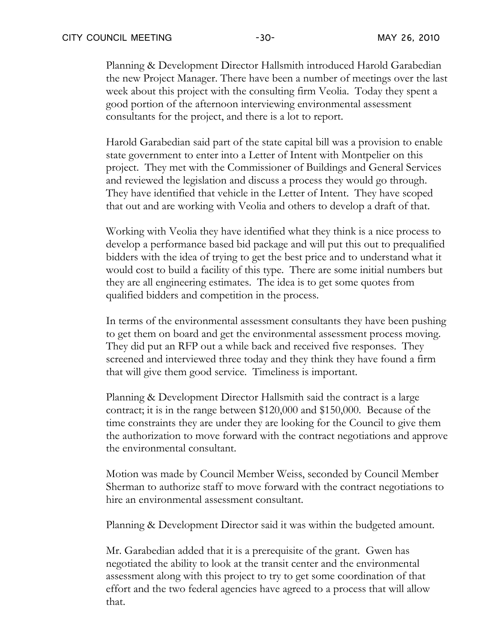Planning & Development Director Hallsmith introduced Harold Garabedian the new Project Manager. There have been a number of meetings over the last week about this project with the consulting firm Veolia. Today they spent a good portion of the afternoon interviewing environmental assessment consultants for the project, and there is a lot to report.

Harold Garabedian said part of the state capital bill was a provision to enable state government to enter into a Letter of Intent with Montpelier on this project. They met with the Commissioner of Buildings and General Services and reviewed the legislation and discuss a process they would go through. They have identified that vehicle in the Letter of Intent. They have scoped that out and are working with Veolia and others to develop a draft of that.

Working with Veolia they have identified what they think is a nice process to develop a performance based bid package and will put this out to prequalified bidders with the idea of trying to get the best price and to understand what it would cost to build a facility of this type. There are some initial numbers but they are all engineering estimates. The idea is to get some quotes from qualified bidders and competition in the process.

In terms of the environmental assessment consultants they have been pushing to get them on board and get the environmental assessment process moving. They did put an RFP out a while back and received five responses. They screened and interviewed three today and they think they have found a firm that will give them good service. Timeliness is important.

Planning & Development Director Hallsmith said the contract is a large contract; it is in the range between \$120,000 and \$150,000. Because of the time constraints they are under they are looking for the Council to give them the authorization to move forward with the contract negotiations and approve the environmental consultant.

Motion was made by Council Member Weiss, seconded by Council Member Sherman to authorize staff to move forward with the contract negotiations to hire an environmental assessment consultant.

Planning & Development Director said it was within the budgeted amount.

Mr. Garabedian added that it is a prerequisite of the grant. Gwen has negotiated the ability to look at the transit center and the environmental assessment along with this project to try to get some coordination of that effort and the two federal agencies have agreed to a process that will allow that.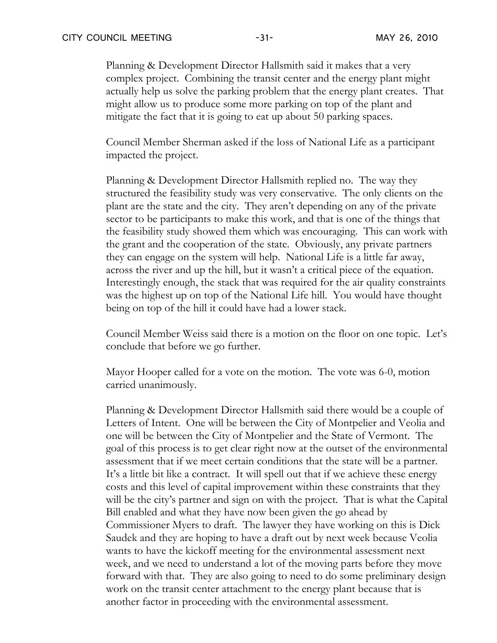Planning & Development Director Hallsmith said it makes that a very complex project. Combining the transit center and the energy plant might actually help us solve the parking problem that the energy plant creates. That might allow us to produce some more parking on top of the plant and mitigate the fact that it is going to eat up about 50 parking spaces.

Council Member Sherman asked if the loss of National Life as a participant impacted the project.

Planning & Development Director Hallsmith replied no. The way they structured the feasibility study was very conservative. The only clients on the plant are the state and the city. They aren't depending on any of the private sector to be participants to make this work, and that is one of the things that the feasibility study showed them which was encouraging. This can work with the grant and the cooperation of the state. Obviously, any private partners they can engage on the system will help. National Life is a little far away, across the river and up the hill, but it wasn't a critical piece of the equation. Interestingly enough, the stack that was required for the air quality constraints was the highest up on top of the National Life hill. You would have thought being on top of the hill it could have had a lower stack.

Council Member Weiss said there is a motion on the floor on one topic. Let's conclude that before we go further.

Mayor Hooper called for a vote on the motion. The vote was 6-0, motion carried unanimously.

Planning & Development Director Hallsmith said there would be a couple of Letters of Intent. One will be between the City of Montpelier and Veolia and one will be between the City of Montpelier and the State of Vermont. The goal of this process is to get clear right now at the outset of the environmental assessment that if we meet certain conditions that the state will be a partner. It's a little bit like a contract. It will spell out that if we achieve these energy costs and this level of capital improvement within these constraints that they will be the city's partner and sign on with the project. That is what the Capital Bill enabled and what they have now been given the go ahead by Commissioner Myers to draft. The lawyer they have working on this is Dick Saudek and they are hoping to have a draft out by next week because Veolia wants to have the kickoff meeting for the environmental assessment next week, and we need to understand a lot of the moving parts before they move forward with that. They are also going to need to do some preliminary design work on the transit center attachment to the energy plant because that is another factor in proceeding with the environmental assessment.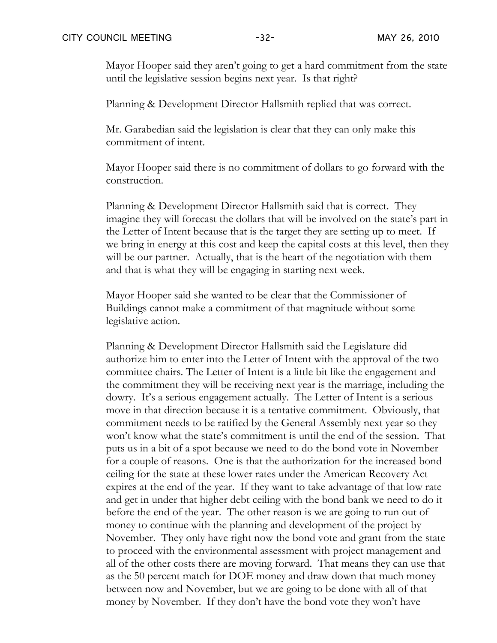Mayor Hooper said they aren't going to get a hard commitment from the state until the legislative session begins next year. Is that right?

Planning & Development Director Hallsmith replied that was correct.

Mr. Garabedian said the legislation is clear that they can only make this commitment of intent.

Mayor Hooper said there is no commitment of dollars to go forward with the construction.

Planning & Development Director Hallsmith said that is correct. They imagine they will forecast the dollars that will be involved on the state's part in the Letter of Intent because that is the target they are setting up to meet. If we bring in energy at this cost and keep the capital costs at this level, then they will be our partner. Actually, that is the heart of the negotiation with them and that is what they will be engaging in starting next week.

Mayor Hooper said she wanted to be clear that the Commissioner of Buildings cannot make a commitment of that magnitude without some legislative action.

Planning & Development Director Hallsmith said the Legislature did authorize him to enter into the Letter of Intent with the approval of the two committee chairs. The Letter of Intent is a little bit like the engagement and the commitment they will be receiving next year is the marriage, including the dowry. It's a serious engagement actually. The Letter of Intent is a serious move in that direction because it is a tentative commitment. Obviously, that commitment needs to be ratified by the General Assembly next year so they won't know what the state's commitment is until the end of the session. That puts us in a bit of a spot because we need to do the bond vote in November for a couple of reasons. One is that the authorization for the increased bond ceiling for the state at these lower rates under the American Recovery Act expires at the end of the year. If they want to take advantage of that low rate and get in under that higher debt ceiling with the bond bank we need to do it before the end of the year. The other reason is we are going to run out of money to continue with the planning and development of the project by November. They only have right now the bond vote and grant from the state to proceed with the environmental assessment with project management and all of the other costs there are moving forward. That means they can use that as the 50 percent match for DOE money and draw down that much money between now and November, but we are going to be done with all of that money by November. If they don't have the bond vote they won't have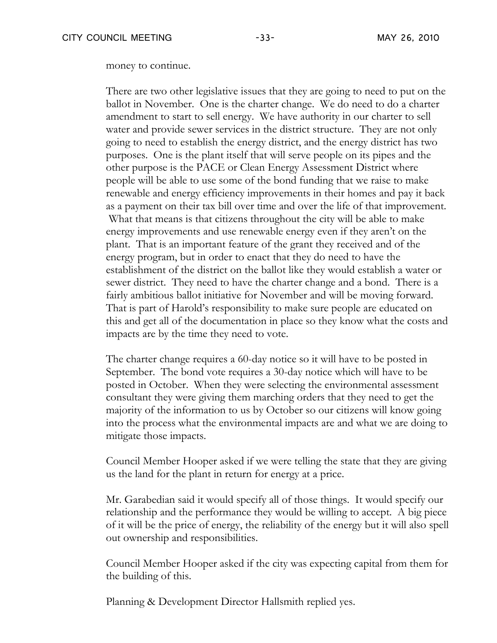money to continue.

There are two other legislative issues that they are going to need to put on the ballot in November. One is the charter change. We do need to do a charter amendment to start to sell energy. We have authority in our charter to sell water and provide sewer services in the district structure. They are not only going to need to establish the energy district, and the energy district has two purposes. One is the plant itself that will serve people on its pipes and the other purpose is the PACE or Clean Energy Assessment District where people will be able to use some of the bond funding that we raise to make renewable and energy efficiency improvements in their homes and pay it back as a payment on their tax bill over time and over the life of that improvement. What that means is that citizens throughout the city will be able to make energy improvements and use renewable energy even if they aren't on the plant. That is an important feature of the grant they received and of the energy program, but in order to enact that they do need to have the establishment of the district on the ballot like they would establish a water or sewer district. They need to have the charter change and a bond. There is a fairly ambitious ballot initiative for November and will be moving forward. That is part of Harold's responsibility to make sure people are educated on this and get all of the documentation in place so they know what the costs and impacts are by the time they need to vote.

The charter change requires a 60-day notice so it will have to be posted in September. The bond vote requires a 30-day notice which will have to be posted in October. When they were selecting the environmental assessment consultant they were giving them marching orders that they need to get the majority of the information to us by October so our citizens will know going into the process what the environmental impacts are and what we are doing to mitigate those impacts.

Council Member Hooper asked if we were telling the state that they are giving us the land for the plant in return for energy at a price.

Mr. Garabedian said it would specify all of those things. It would specify our relationship and the performance they would be willing to accept. A big piece of it will be the price of energy, the reliability of the energy but it will also spell out ownership and responsibilities.

Council Member Hooper asked if the city was expecting capital from them for the building of this.

Planning & Development Director Hallsmith replied yes.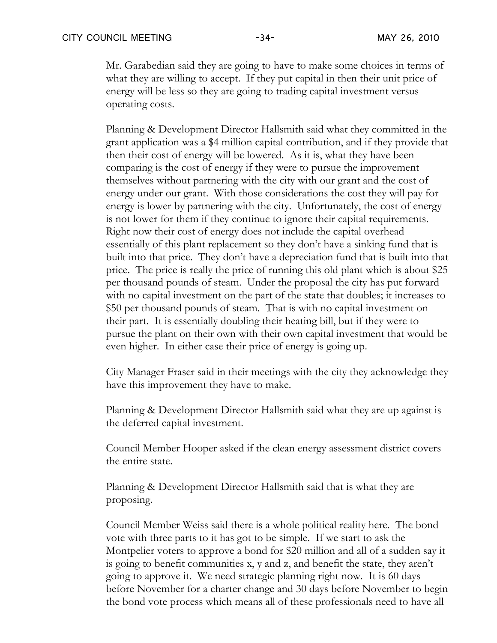Mr. Garabedian said they are going to have to make some choices in terms of what they are willing to accept. If they put capital in then their unit price of energy will be less so they are going to trading capital investment versus operating costs.

Planning & Development Director Hallsmith said what they committed in the grant application was a \$4 million capital contribution, and if they provide that then their cost of energy will be lowered. As it is, what they have been comparing is the cost of energy if they were to pursue the improvement themselves without partnering with the city with our grant and the cost of energy under our grant. With those considerations the cost they will pay for energy is lower by partnering with the city. Unfortunately, the cost of energy is not lower for them if they continue to ignore their capital requirements. Right now their cost of energy does not include the capital overhead essentially of this plant replacement so they don't have a sinking fund that is built into that price. They don't have a depreciation fund that is built into that price. The price is really the price of running this old plant which is about \$25 per thousand pounds of steam. Under the proposal the city has put forward with no capital investment on the part of the state that doubles; it increases to \$50 per thousand pounds of steam. That is with no capital investment on their part. It is essentially doubling their heating bill, but if they were to pursue the plant on their own with their own capital investment that would be even higher. In either case their price of energy is going up.

City Manager Fraser said in their meetings with the city they acknowledge they have this improvement they have to make.

Planning & Development Director Hallsmith said what they are up against is the deferred capital investment.

Council Member Hooper asked if the clean energy assessment district covers the entire state.

Planning & Development Director Hallsmith said that is what they are proposing.

Council Member Weiss said there is a whole political reality here. The bond vote with three parts to it has got to be simple. If we start to ask the Montpelier voters to approve a bond for \$20 million and all of a sudden say it is going to benefit communities x, y and z, and benefit the state, they aren't going to approve it. We need strategic planning right now. It is 60 days before November for a charter change and 30 days before November to begin the bond vote process which means all of these professionals need to have all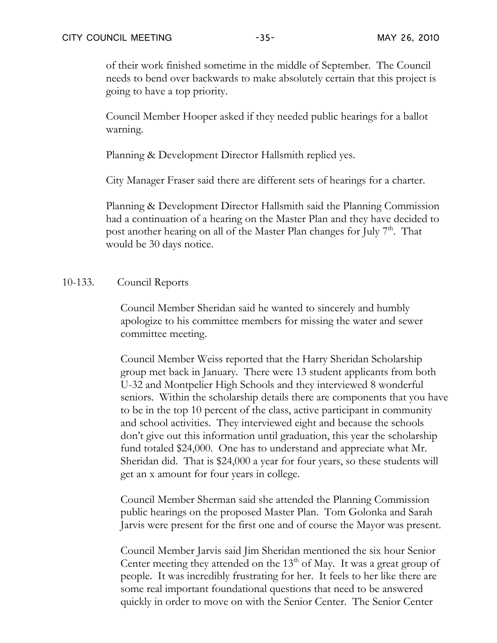of their work finished sometime in the middle of September. The Council needs to bend over backwards to make absolutely certain that this project is going to have a top priority.

Council Member Hooper asked if they needed public hearings for a ballot warning.

Planning & Development Director Hallsmith replied yes.

City Manager Fraser said there are different sets of hearings for a charter.

Planning & Development Director Hallsmith said the Planning Commission had a continuation of a hearing on the Master Plan and they have decided to post another hearing on all of the Master Plan changes for July 7<sup>th</sup>. That would be 30 days notice.

## 10-133. Council Reports

Council Member Sheridan said he wanted to sincerely and humbly apologize to his committee members for missing the water and sewer committee meeting.

Council Member Weiss reported that the Harry Sheridan Scholarship group met back in January. There were 13 student applicants from both U-32 and Montpelier High Schools and they interviewed 8 wonderful seniors. Within the scholarship details there are components that you have to be in the top 10 percent of the class, active participant in community and school activities. They interviewed eight and because the schools don't give out this information until graduation, this year the scholarship fund totaled \$24,000. One has to understand and appreciate what Mr. Sheridan did. That is \$24,000 a year for four years, so these students will get an x amount for four years in college.

Council Member Sherman said she attended the Planning Commission public hearings on the proposed Master Plan. Tom Golonka and Sarah Jarvis were present for the first one and of course the Mayor was present.

Council Member Jarvis said Jim Sheridan mentioned the six hour Senior Center meeting they attended on the  $13<sup>th</sup>$  of May. It was a great group of people. It was incredibly frustrating for her. It feels to her like there are some real important foundational questions that need to be answered quickly in order to move on with the Senior Center. The Senior Center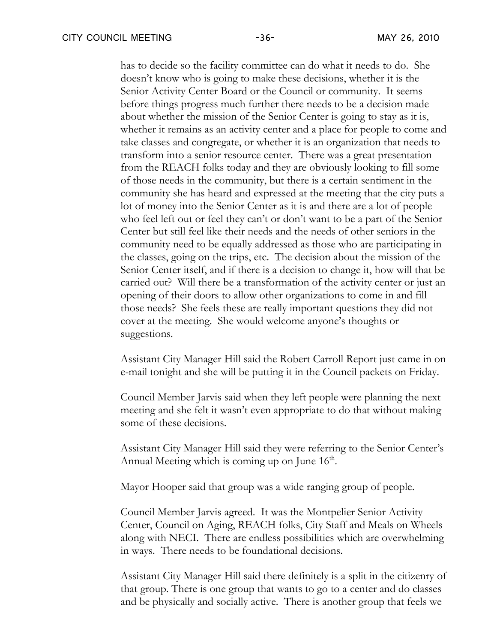has to decide so the facility committee can do what it needs to do. She doesn't know who is going to make these decisions, whether it is the Senior Activity Center Board or the Council or community. It seems before things progress much further there needs to be a decision made about whether the mission of the Senior Center is going to stay as it is, whether it remains as an activity center and a place for people to come and take classes and congregate, or whether it is an organization that needs to transform into a senior resource center. There was a great presentation from the REACH folks today and they are obviously looking to fill some of those needs in the community, but there is a certain sentiment in the community she has heard and expressed at the meeting that the city puts a lot of money into the Senior Center as it is and there are a lot of people who feel left out or feel they can't or don't want to be a part of the Senior Center but still feel like their needs and the needs of other seniors in the community need to be equally addressed as those who are participating in the classes, going on the trips, etc. The decision about the mission of the Senior Center itself, and if there is a decision to change it, how will that be carried out? Will there be a transformation of the activity center or just an opening of their doors to allow other organizations to come in and fill those needs? She feels these are really important questions they did not cover at the meeting. She would welcome anyone's thoughts or suggestions.

Assistant City Manager Hill said the Robert Carroll Report just came in on e-mail tonight and she will be putting it in the Council packets on Friday.

Council Member Jarvis said when they left people were planning the next meeting and she felt it wasn't even appropriate to do that without making some of these decisions.

Assistant City Manager Hill said they were referring to the Senior Center's Annual Meeting which is coming up on June  $16<sup>th</sup>$ .

Mayor Hooper said that group was a wide ranging group of people.

Council Member Jarvis agreed. It was the Montpelier Senior Activity Center, Council on Aging, REACH folks, City Staff and Meals on Wheels along with NECI. There are endless possibilities which are overwhelming in ways. There needs to be foundational decisions.

Assistant City Manager Hill said there definitely is a split in the citizenry of that group. There is one group that wants to go to a center and do classes and be physically and socially active. There is another group that feels we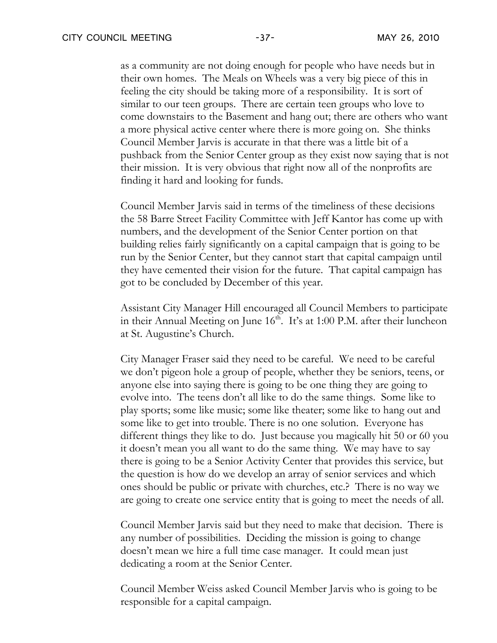as a community are not doing enough for people who have needs but in their own homes. The Meals on Wheels was a very big piece of this in feeling the city should be taking more of a responsibility. It is sort of similar to our teen groups. There are certain teen groups who love to come downstairs to the Basement and hang out; there are others who want a more physical active center where there is more going on. She thinks Council Member Jarvis is accurate in that there was a little bit of a pushback from the Senior Center group as they exist now saying that is not their mission. It is very obvious that right now all of the nonprofits are finding it hard and looking for funds.

Council Member Jarvis said in terms of the timeliness of these decisions the 58 Barre Street Facility Committee with Jeff Kantor has come up with numbers, and the development of the Senior Center portion on that building relies fairly significantly on a capital campaign that is going to be run by the Senior Center, but they cannot start that capital campaign until they have cemented their vision for the future. That capital campaign has got to be concluded by December of this year.

Assistant City Manager Hill encouraged all Council Members to participate in their Annual Meeting on June  $16<sup>th</sup>$ . It's at 1:00 P.M. after their luncheon at St. Augustine's Church.

City Manager Fraser said they need to be careful. We need to be careful we don't pigeon hole a group of people, whether they be seniors, teens, or anyone else into saying there is going to be one thing they are going to evolve into. The teens don't all like to do the same things. Some like to play sports; some like music; some like theater; some like to hang out and some like to get into trouble. There is no one solution. Everyone has different things they like to do. Just because you magically hit 50 or 60 you it doesn't mean you all want to do the same thing. We may have to say there is going to be a Senior Activity Center that provides this service, but the question is how do we develop an array of senior services and which ones should be public or private with churches, etc.? There is no way we are going to create one service entity that is going to meet the needs of all.

Council Member Jarvis said but they need to make that decision. There is any number of possibilities. Deciding the mission is going to change doesn't mean we hire a full time case manager. It could mean just dedicating a room at the Senior Center.

Council Member Weiss asked Council Member Jarvis who is going to be responsible for a capital campaign.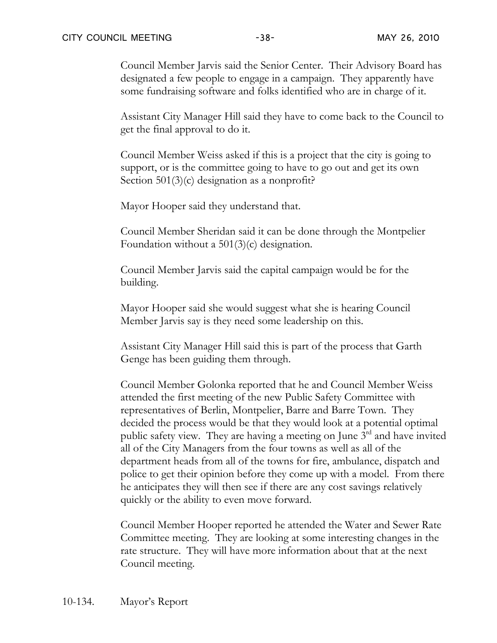Council Member Jarvis said the Senior Center. Their Advisory Board has designated a few people to engage in a campaign. They apparently have some fundraising software and folks identified who are in charge of it.

Assistant City Manager Hill said they have to come back to the Council to get the final approval to do it.

Council Member Weiss asked if this is a project that the city is going to support, or is the committee going to have to go out and get its own Section 501(3)(c) designation as a nonprofit?

Mayor Hooper said they understand that.

Council Member Sheridan said it can be done through the Montpelier Foundation without a 501(3)(c) designation.

Council Member Jarvis said the capital campaign would be for the building.

Mayor Hooper said she would suggest what she is hearing Council Member Jarvis say is they need some leadership on this.

Assistant City Manager Hill said this is part of the process that Garth Genge has been guiding them through.

Council Member Golonka reported that he and Council Member Weiss attended the first meeting of the new Public Safety Committee with representatives of Berlin, Montpelier, Barre and Barre Town. They decided the process would be that they would look at a potential optimal public safety view. They are having a meeting on June  $3^{rd}$  and have invited all of the City Managers from the four towns as well as all of the department heads from all of the towns for fire, ambulance, dispatch and police to get their opinion before they come up with a model. From there he anticipates they will then see if there are any cost savings relatively quickly or the ability to even move forward.

Council Member Hooper reported he attended the Water and Sewer Rate Committee meeting. They are looking at some interesting changes in the rate structure. They will have more information about that at the next Council meeting.